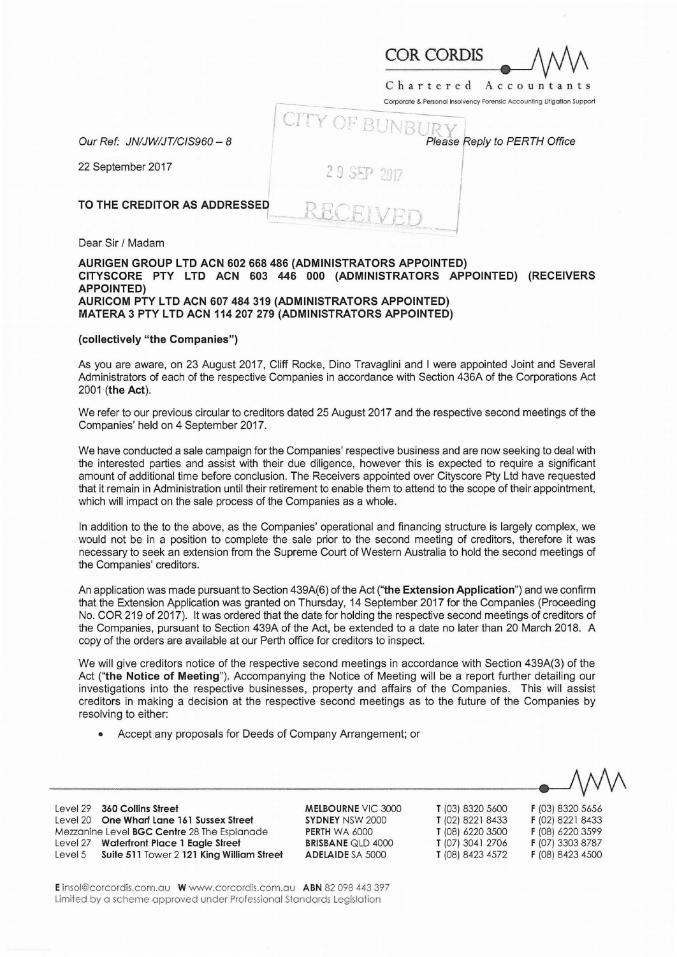| COR CORDIS |  |
|------------|--|

Chartered Accountan

Corporate & Personal Insolvency Forensic Accounting Litigation Support

|                              | CITY OF BUNBURY              |
|------------------------------|------------------------------|
| Our Ref: JN/JW/JT/CIS960 - 8 | Please Reply to PERTH Office |
| 22 September 2017            | 29 SEP 2017                  |
| TO THE CREDITOR AS ADDRESSED |                              |
| Dear Sir / Madam             |                              |

## **AURIGEN GROUP LTD ACN 602 668 486 (ADMINISTRATORS APPOINTED) CITYSCORE PTY LTD ACN 603 446 000 (ADMINISTRATORS APPOINTED) (RECEIVERS APPOINTED) AURICOM PTY LTD ACN 607 484 319 (ADMINISTRATORS APPOINTED) MATERA 3 PTY LTD ACN 114 207 279 (ADMINISTRATORS APPOINTED)**

## **(collectively "the Companies")**

As you are aware, on 23 August 2017, Cliff Rocke, Dino Travaglini and I were appointed Joint and Several Administrators of each of the respective Companies in accordance with Section 436A of the Corporations Act 2001 **(the Act).** 

We refer to our previous circular to creditors dated 25 August 2017 and the respective second meetings of the Companies' held on 4 September 2017.

We have conducted a sale campaign for the Companies' respective business and are now seeking to deal with the interested parties and assist with their due diligence, however this is expected to require a significant amount of additional time before conclusion. The Receivers appointed over Cityscore Pty Ltd have requested that it remain in Administration until their retirement to enable them to attend to the scope of their appointment, which will impact on the sale process of the Companies as a whole.

In addition to the to the above, as the Companies' operational and financing structure is largely complex, we would not be in a position to complete the sale prior to the second meeting of creditors, therefore it was necessary to seek an extension from the Supreme Court of Western Australia to hold the second meetings of the Companies' creditors.

An application was made pursuant to Section 439A(6) of the Act **("the Extension Application")** and we confirm that the Extension Application was granted on Thursday, 14 September 2017 for the Companies (Proceeding No. COR 219 of 2017). It was ordered that the date for holding the respective second meetings of creditors of the Companies, pursuant to Section 439A of the Act, be extended to a date no later than 20 March 2018. A copy of the orders are available at our Perth office for creditors to inspect.

We will give creditors notice of the respective second meetings in accordance with Section 439A(3) of the Act **("the Notice of Meeting").** Accompanying the Notice of Meeting will be a report further detailing our investigations into the respective businesses, property and affairs of the Companies. This will assist creditors in making a decision at the respective second meetings as to the future of the Companies by resolving to either:

• Accept any proposals for Deeds of Company Arrangement; or

Level 29 **360 Collins Street**  Level 20 **One Wharf Lane 161 Sussex Street**  Mezzanine Level **BGC Centre** 28 The Esplanade Level 27 **Waterfront Place 1 Eagle Street**  Level 5 **Suite 511** Tower 2 **121 King William Street**  **MELBOURNE** VIC 3000 **SYDNEY** NSW 2000 **PERTH** WA 6000 **BRISBANE** QLD 4000 **ADELAIDE** SA 5000

**T** (03) 8320 5600 **F** (03) 8320 5656 **T** (02) 8221 8433 **F** (02) 8221 8433 **T** (08) 6220 3500 **F** (08) 6220 3599 **T** (07) 3041 2706 **F** (07) 3303 8787 **T** (08) 8423 4572 **F** (08) 8423 4500

**E** insol@corcordis.com.au **W** www.corcordis.com.au **ABN** 82 098 443 397 Limited by a scheme approved under Professional Standards Legislation